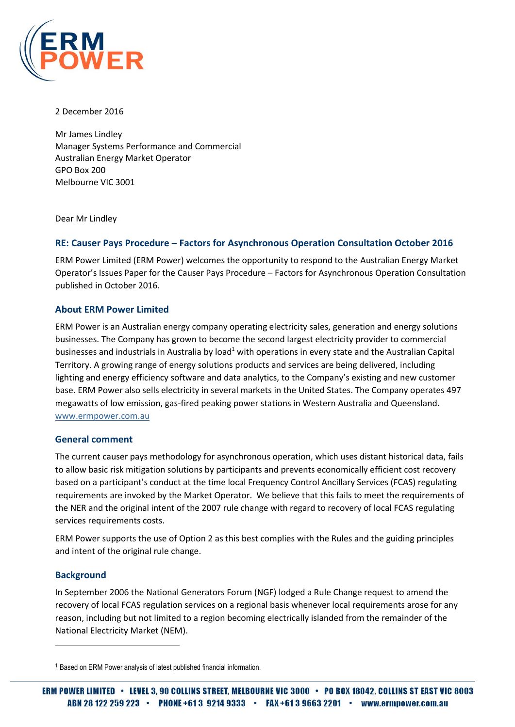

2 December 2016

Mr James Lindley Manager Systems Performance and Commercial Australian Energy Market Operator GPO Box 200 Melbourne VIC 3001

Dear Mr Lindley

### **RE: Causer Pays Procedure – Factors for Asynchronous Operation Consultation October 2016**

ERM Power Limited (ERM Power) welcomes the opportunity to respond to the Australian Energy Market Operator's Issues Paper for the Causer Pays Procedure – Factors for Asynchronous Operation Consultation published in October 2016.

### **About ERM Power Limited**

ERM Power is an Australian energy company operating electricity sales, generation and energy solutions businesses. The Company has grown to become the second largest electricity provider to commercial businesses and industrials in Australia by load<sup>1</sup> with operations in every state and the Australian Capital Territory. A growing range of energy solutions products and services are being delivered, including lighting and energy efficiency software and data analytics, to the Company's existing and new customer base. ERM Power also sells electricity in several markets in the United States. The Company operates 497 megawatts of low emission, gas-fired peaking power stations in Western Australia and Queensland. [www.ermpower.com.au](http://www.ermpower.com.au/)

#### **General comment**

The current causer pays methodology for asynchronous operation, which uses distant historical data, fails to allow basic risk mitigation solutions by participants and prevents economically efficient cost recovery based on a participant's conduct at the time local Frequency Control Ancillary Services (FCAS) regulating requirements are invoked by the Market Operator. We believe that this fails to meet the requirements of the NER and the original intent of the 2007 rule change with regard to recovery of local FCAS regulating services requirements costs.

ERM Power supports the use of Option 2 as this best complies with the Rules and the guiding principles and intent of the original rule change.

#### **Background**

 $\overline{\phantom{a}}$ 

In September 2006 the National Generators Forum (NGF) lodged a Rule Change request to amend the recovery of local FCAS regulation services on a regional basis whenever local requirements arose for any reason, including but not limited to a region becoming electrically islanded from the remainder of the National Electricity Market (NEM).

<sup>1</sup> Based on ERM Power analysis of latest published financial information.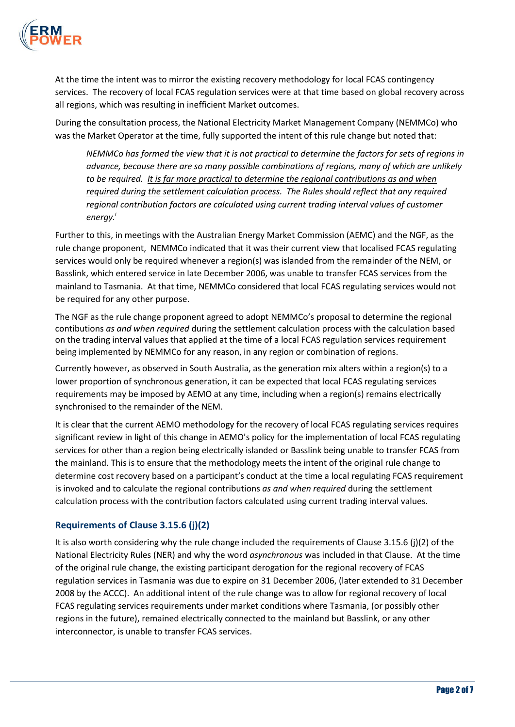

At the time the intent was to mirror the existing recovery methodology for local FCAS contingency services. The recovery of local FCAS regulation services were at that time based on global recovery across all regions, which was resulting in inefficient Market outcomes.

During the consultation process, the National Electricity Market Management Company (NEMMCo) who was the Market Operator at the time, fully supported the intent of this rule change but noted that:

*NEMMCo has formed the view that it is not practical to determine the factors for sets of regions in advance, because there are so many possible combinations of regions, many of which are unlikely to be required. It is far more practical to determine the regional contributions as and when required during the settlement calculation process. The Rules should reflect that any required regional contribution factors are calculated using current trading interval values of customer energy.<sup>i</sup>*

Further to this, in meetings with the Australian Energy Market Commission (AEMC) and the NGF, as the rule change proponent, NEMMCo indicated that it was their current view that localised FCAS regulating services would only be required whenever a region(s) was islanded from the remainder of the NEM, or Basslink, which entered service in late December 2006, was unable to transfer FCAS services from the mainland to Tasmania. At that time, NEMMCo considered that local FCAS regulating services would not be required for any other purpose.

The NGF as the rule change proponent agreed to adopt NEMMCo's proposal to determine the regional contibutions *as and when required* during the settlement calculation process with the calculation based on the trading interval values that applied at the time of a local FCAS regulation services requirement being implemented by NEMMCo for any reason, in any region or combination of regions.

Currently however, as observed in South Australia, as the generation mix alters within a region(s) to a lower proportion of synchronous generation, it can be expected that local FCAS regulating services requirements may be imposed by AEMO at any time, including when a region(s) remains electrically synchronised to the remainder of the NEM.

It is clear that the current AEMO methodology for the recovery of local FCAS regulating services requires significant review in light of this change in AEMO's policy for the implementation of local FCAS regulating services for other than a region being electrically islanded or Basslink being unable to transfer FCAS from the mainland. This is to ensure that the methodology meets the intent of the original rule change to determine cost recovery based on a participant's conduct at the time a local regulating FCAS requirement is invoked and to calculate the regional contributions *as and when required* during the settlement calculation process with the contribution factors calculated using current trading interval values.

# **Requirements of Clause 3.15.6 (j)(2)**

It is also worth considering why the rule change included the requirements of Clause 3.15.6 (j)(2) of the National Electricity Rules (NER) and why the word *asynchronous* was included in that Clause. At the time of the original rule change, the existing participant derogation for the regional recovery of FCAS regulation services in Tasmania was due to expire on 31 December 2006, (later extended to 31 December 2008 by the ACCC). An additional intent of the rule change was to allow for regional recovery of local FCAS regulating services requirements under market conditions where Tasmania, (or possibly other regions in the future), remained electrically connected to the mainland but Basslink, or any other interconnector, is unable to transfer FCAS services.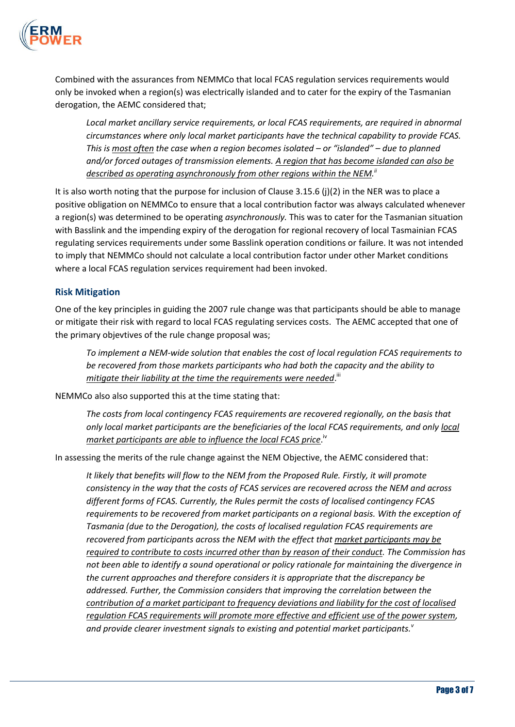

Combined with the assurances from NEMMCo that local FCAS regulation services requirements would only be invoked when a region(s) was electrically islanded and to cater for the expiry of the Tasmanian derogation, the AEMC considered that;

*Local market ancillary service requirements, or local FCAS requirements, are required in abnormal circumstances where only local market participants have the technical capability to provide FCAS. This is most often the case when a region becomes isolated – or "islanded" – due to planned and/or forced outages of transmission elements. A region that has become islanded can also be described as operating asynchronously from other regions within the NEM. ii*

It is also worth noting that the purpose for inclusion of Clause 3.15.6 (j)(2) in the NER was to place a positive obligation on NEMMCo to ensure that a local contribution factor was always calculated whenever a region(s) was determined to be operating *asynchronously.* This was to cater for the Tasmanian situation with Basslink and the impending expiry of the derogation for regional recovery of local Tasmainian FCAS regulating services requirements under some Basslink operation conditions or failure. It was not intended to imply that NEMMCo should not calculate a local contribution factor under other Market conditions where a local FCAS regulation services requirement had been invoked.

## **Risk Mitigation**

One of the key principles in guiding the 2007 rule change was that participants should be able to manage or mitigate their risk with regard to local FCAS regulating services costs. The AEMC accepted that one of the primary objevtives of the rule change proposal was;

*To implement a NEM-wide solution that enables the cost of local regulation FCAS requirements to be recovered from those markets participants who had both the capacity and the ability to*  mitigate their liability at the time the requirements were needed.<sup>'"</sup>

NEMMCo also also supported this at the time stating that:

*The costs from local contingency FCAS requirements are recovered regionally, on the basis that only local market participants are the beneficiaries of the local FCAS requirements, and only local*  market participants are able to influence the local FCAS price.<sup>iv</sup>

In assessing the merits of the rule change against the NEM Objective, the AEMC considered that:

*It likely that benefits will flow to the NEM from the Proposed Rule. Firstly, it will promote consistency in the way that the costs of FCAS services are recovered across the NEM and across different forms of FCAS. Currently, the Rules permit the costs of localised contingency FCAS requirements to be recovered from market participants on a regional basis. With the exception of Tasmania (due to the Derogation), the costs of localised regulation FCAS requirements are recovered from participants across the NEM with the effect that market participants may be required to contribute to costs incurred other than by reason of their conduct. The Commission has not been able to identify a sound operational or policy rationale for maintaining the divergence in the current approaches and therefore considers it is appropriate that the discrepancy be addressed. Further, the Commission considers that improving the correlation between the contribution of a market participant to frequency deviations and liability for the cost of localised regulation FCAS requirements will promote more effective and efficient use of the power system, and provide clearer investment signals to existing and potential market participants.<sup>v</sup>*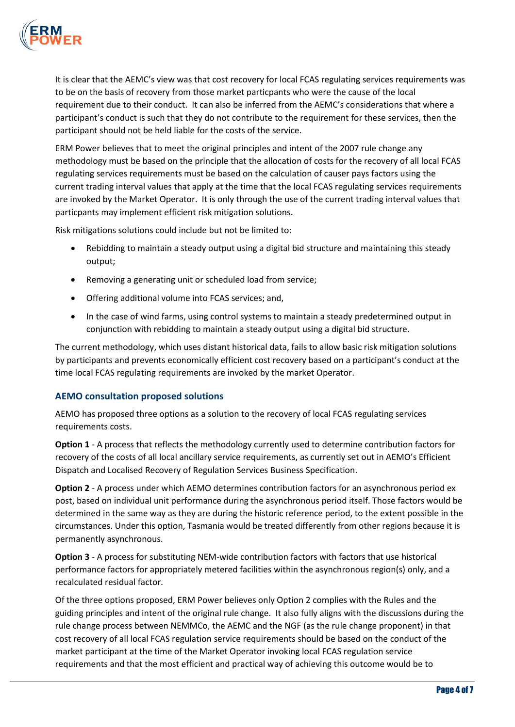

It is clear that the AEMC's view was that cost recovery for local FCAS regulating services requirements was to be on the basis of recovery from those market particpants who were the cause of the local requirement due to their conduct. It can also be inferred from the AEMC's considerations that where a participant's conduct is such that they do not contribute to the requirement for these services, then the participant should not be held liable for the costs of the service.

ERM Power believes that to meet the original principles and intent of the 2007 rule change any methodology must be based on the principle that the allocation of costs for the recovery of all local FCAS regulating services requirements must be based on the calculation of causer pays factors using the current trading interval values that apply at the time that the local FCAS regulating services requirements are invoked by the Market Operator. It is only through the use of the current trading interval values that particpants may implement efficient risk mitigation solutions.

Risk mitigations solutions could include but not be limited to:

- Rebidding to maintain a steady output using a digital bid structure and maintaining this steady output:
- Removing a generating unit or scheduled load from service;
- Offering additional volume into FCAS services; and,
- In the case of wind farms, using control systems to maintain a steady predetermined output in conjunction with rebidding to maintain a steady output using a digital bid structure.

The current methodology, which uses distant historical data, fails to allow basic risk mitigation solutions by participants and prevents economically efficient cost recovery based on a participant's conduct at the time local FCAS regulating requirements are invoked by the market Operator.

# **AEMO consultation proposed solutions**

AEMO has proposed three options as a solution to the recovery of local FCAS regulating services requirements costs.

**Option 1** - A process that reflects the methodology currently used to determine contribution factors for recovery of the costs of all local ancillary service requirements, as currently set out in AEMO's Efficient Dispatch and Localised Recovery of Regulation Services Business Specification.

**Option 2** - A process under which AEMO determines contribution factors for an asynchronous period ex post, based on individual unit performance during the asynchronous period itself. Those factors would be determined in the same way as they are during the historic reference period, to the extent possible in the circumstances. Under this option, Tasmania would be treated differently from other regions because it is permanently asynchronous.

**Option 3** - A process for substituting NEM-wide contribution factors with factors that use historical performance factors for appropriately metered facilities within the asynchronous region(s) only, and a recalculated residual factor.

Of the three options proposed, ERM Power believes only Option 2 complies with the Rules and the guiding principles and intent of the original rule change. It also fully aligns with the discussions during the rule change process between NEMMCo, the AEMC and the NGF (as the rule change proponent) in that cost recovery of all local FCAS regulation service requirements should be based on the conduct of the market participant at the time of the Market Operator invoking local FCAS regulation service requirements and that the most efficient and practical way of achieving this outcome would be to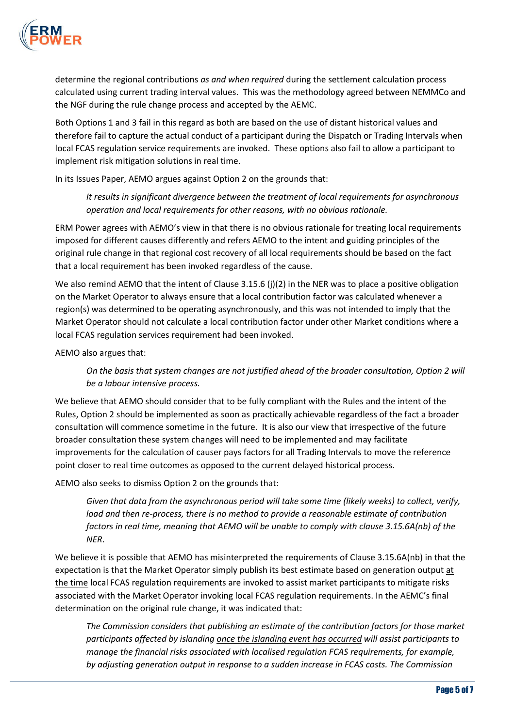

determine the regional contributions *as and when required* during the settlement calculation process calculated using current trading interval values. This was the methodology agreed between NEMMCo and the NGF during the rule change process and accepted by the AEMC.

Both Options 1 and 3 fail in this regard as both are based on the use of distant historical values and therefore fail to capture the actual conduct of a participant during the Dispatch or Trading Intervals when local FCAS regulation service requirements are invoked. These options also fail to allow a participant to implement risk mitigation solutions in real time.

In its Issues Paper, AEMO argues against Option 2 on the grounds that:

*It results in significant divergence between the treatment of local requirements for asynchronous operation and local requirements for other reasons, with no obvious rationale.*

ERM Power agrees with AEMO's view in that there is no obvious rationale for treating local requirements imposed for different causes differently and refers AEMO to the intent and guiding principles of the original rule change in that regional cost recovery of all local requirements should be based on the fact that a local requirement has been invoked regardless of the cause.

We also remind AEMO that the intent of Clause 3.15.6 (j)(2) in the NER was to place a positive obligation on the Market Operator to always ensure that a local contribution factor was calculated whenever a region(s) was determined to be operating asynchronously, and this was not intended to imply that the Market Operator should not calculate a local contribution factor under other Market conditions where a local FCAS regulation services requirement had been invoked.

AEMO also argues that:

*On the basis that system changes are not justified ahead of the broader consultation, Option 2 will be a labour intensive process.*

We believe that AEMO should consider that to be fully compliant with the Rules and the intent of the Rules, Option 2 should be implemented as soon as practically achievable regardless of the fact a broader consultation will commence sometime in the future. It is also our view that irrespective of the future broader consultation these system changes will need to be implemented and may facilitate improvements for the calculation of causer pays factors for all Trading Intervals to move the reference point closer to real time outcomes as opposed to the current delayed historical process.

AEMO also seeks to dismiss Option 2 on the grounds that:

*Given that data from the asynchronous period will take some time (likely weeks) to collect, verify, load and then re-process, there is no method to provide a reasonable estimate of contribution factors in real time, meaning that AEMO will be unable to comply with clause 3.15.6A(nb) of the NER*.

We believe it is possible that AEMO has misinterpreted the requirements of Clause 3.15.6A(nb) in that the expectation is that the Market Operator simply publish its best estimate based on generation output at the time local FCAS regulation requirements are invoked to assist market participants to mitigate risks associated with the Market Operator invoking local FCAS regulation requirements. In the AEMC's final determination on the original rule change, it was indicated that:

*The Commission considers that publishing an estimate of the contribution factors for those market participants affected by islanding once the islanding event has occurred will assist participants to manage the financial risks associated with localised regulation FCAS requirements, for example, by adjusting generation output in response to a sudden increase in FCAS costs. The Commission*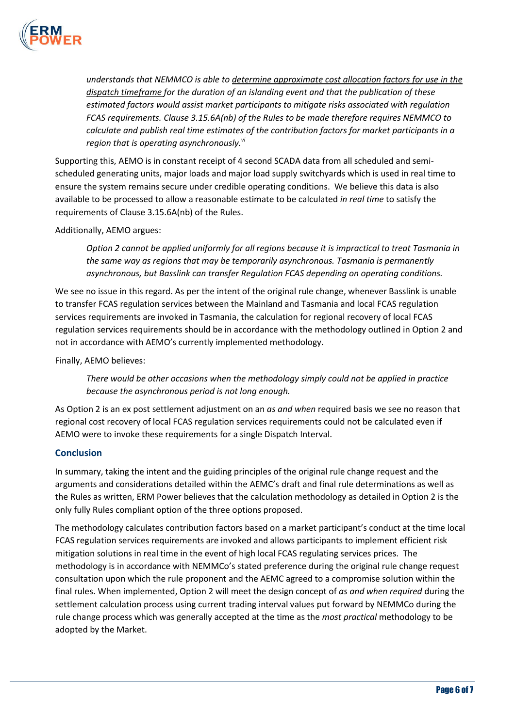

*understands that NEMMCO is able to determine approximate cost allocation factors for use in the dispatch timeframe for the duration of an islanding event and that the publication of these estimated factors would assist market participants to mitigate risks associated with regulation FCAS requirements. Clause 3.15.6A(nb) of the Rules to be made therefore requires NEMMCO to calculate and publish real time estimates of the contribution factors for market participants in a region that is operating asynchronously. vi*

Supporting this, AEMO is in constant receipt of 4 second SCADA data from all scheduled and semischeduled generating units, major loads and major load supply switchyards which is used in real time to ensure the system remains secure under credible operating conditions. We believe this data is also available to be processed to allow a reasonable estimate to be calculated *in real time* to satisfy the requirements of Clause 3.15.6A(nb) of the Rules.

Additionally, AEMO argues:

*Option 2 cannot be applied uniformly for all regions because it is impractical to treat Tasmania in the same way as regions that may be temporarily asynchronous. Tasmania is permanently asynchronous, but Basslink can transfer Regulation FCAS depending on operating conditions.*

We see no issue in this regard. As per the intent of the original rule change, whenever Basslink is unable to transfer FCAS regulation services between the Mainland and Tasmania and local FCAS regulation services requirements are invoked in Tasmania, the calculation for regional recovery of local FCAS regulation services requirements should be in accordance with the methodology outlined in Option 2 and not in accordance with AEMO's currently implemented methodology.

Finally, AEMO believes:

*There would be other occasions when the methodology simply could not be applied in practice because the asynchronous period is not long enough.*

As Option 2 is an ex post settlement adjustment on an *as and when* required basis we see no reason that regional cost recovery of local FCAS regulation services requirements could not be calculated even if AEMO were to invoke these requirements for a single Dispatch Interval.

## **Conclusion**

In summary, taking the intent and the guiding principles of the original rule change request and the arguments and considerations detailed within the AEMC's draft and final rule determinations as well as the Rules as written, ERM Power believes that the calculation methodology as detailed in Option 2 is the only fully Rules compliant option of the three options proposed.

The methodology calculates contribution factors based on a market participant's conduct at the time local FCAS regulation services requirements are invoked and allows participants to implement efficient risk mitigation solutions in real time in the event of high local FCAS regulating services prices. The methodology is in accordance with NEMMCo's stated preference during the original rule change request consultation upon which the rule proponent and the AEMC agreed to a compromise solution within the final rules. When implemented, Option 2 will meet the design concept of *as and when required* during the settlement calculation process using current trading interval values put forward by NEMMCo during the rule change process which was generally accepted at the time as the *most practical* methodology to be adopted by the Market.